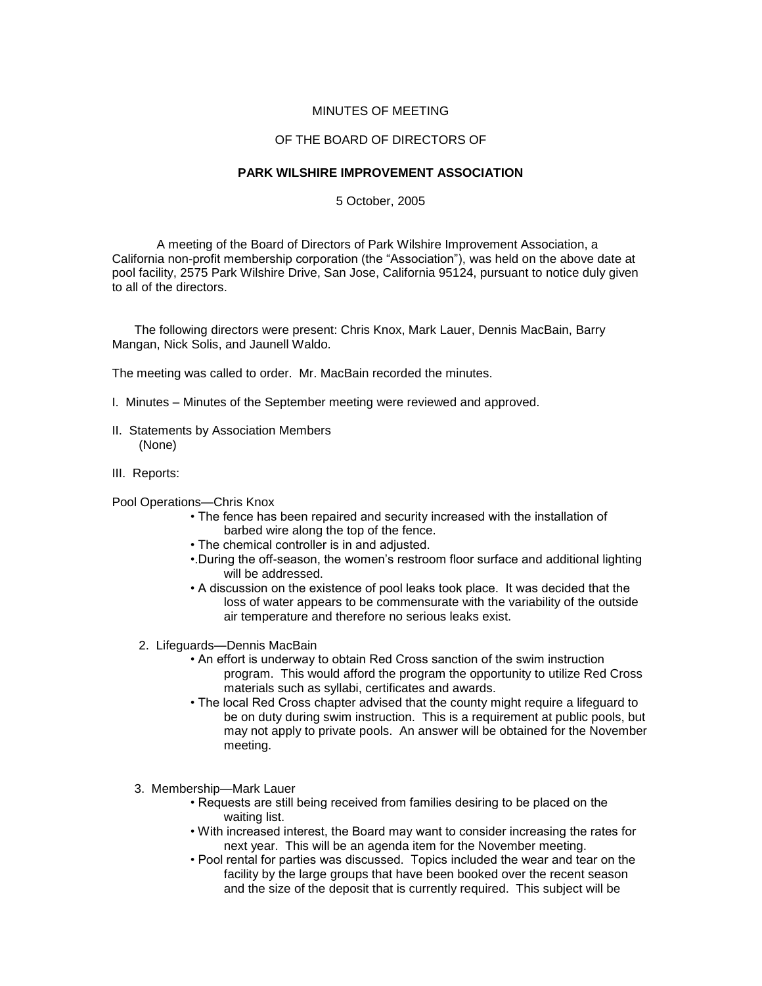## MINUTES OF MEETING

## OF THE BOARD OF DIRECTORS OF

## **PARK WILSHIRE IMPROVEMENT ASSOCIATION**

5 October, 2005

A meeting of the Board of Directors of Park Wilshire Improvement Association, a California non-profit membership corporation (the "Association"), was held on the above date at pool facility, 2575 Park Wilshire Drive, San Jose, California 95124, pursuant to notice duly given to all of the directors.

The following directors were present: Chris Knox, Mark Lauer, Dennis MacBain, Barry Mangan, Nick Solis, and Jaunell Waldo.

The meeting was called to order. Mr. MacBain recorded the minutes.

- I. Minutes Minutes of the September meeting were reviewed and approved.
- II. Statements by Association Members (None)
- III. Reports:

Pool Operations—Chris Knox

- The fence has been repaired and security increased with the installation of barbed wire along the top of the fence.
- The chemical controller is in and adjusted.
- •.During the off-season, the women's restroom floor surface and additional lighting will be addressed.
- A discussion on the existence of pool leaks took place. It was decided that the loss of water appears to be commensurate with the variability of the outside air temperature and therefore no serious leaks exist.
- 2. Lifeguards—Dennis MacBain
	- An effort is underway to obtain Red Cross sanction of the swim instruction program. This would afford the program the opportunity to utilize Red Cross materials such as syllabi, certificates and awards.
	- The local Red Cross chapter advised that the county might require a lifeguard to be on duty during swim instruction. This is a requirement at public pools, but may not apply to private pools. An answer will be obtained for the November meeting.
- 3. Membership—Mark Lauer
	- Requests are still being received from families desiring to be placed on the waiting list.
	- With increased interest, the Board may want to consider increasing the rates for next year. This will be an agenda item for the November meeting.
	- Pool rental for parties was discussed. Topics included the wear and tear on the facility by the large groups that have been booked over the recent season and the size of the deposit that is currently required. This subject will be